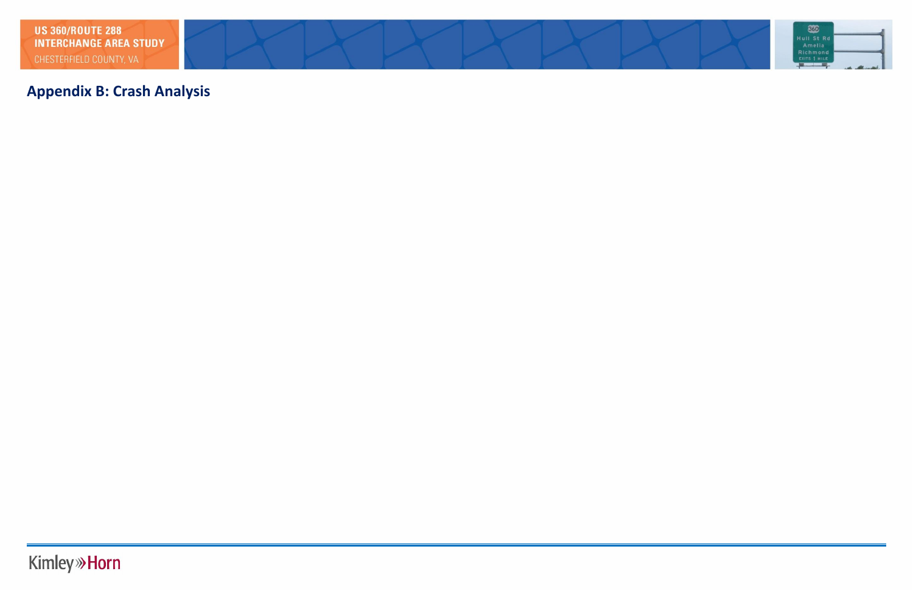# **Appendix B: Crash Analysis**

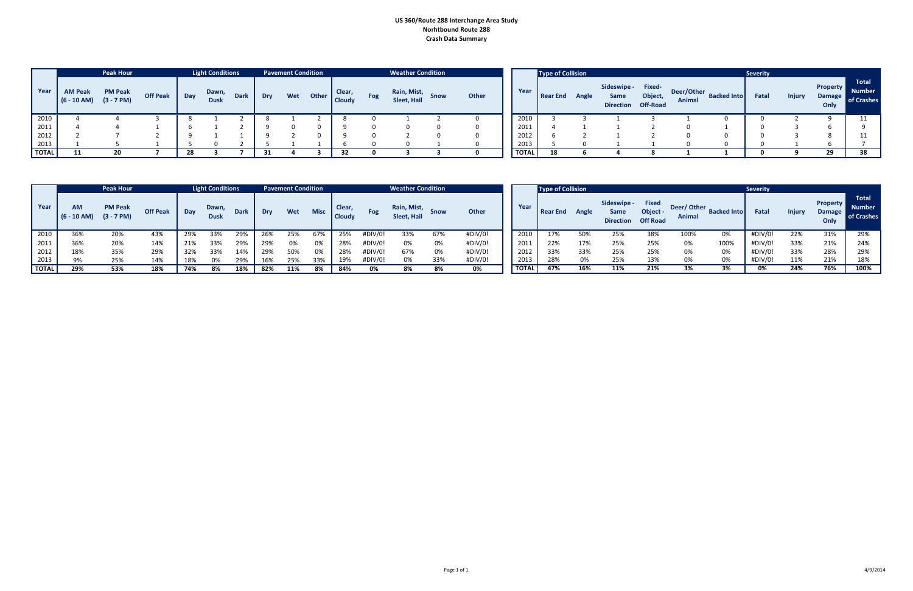## **US 360/Route 288 Interchange Area Study Norhtbound Route 288 Crash Data Summary**

|              |                                               | <b>Peak Hour</b> |                 |     | <b>Light Conditions</b> |             |            | <b>Pavement Condition</b> |       |                               |     | <b>Weather Condition</b>               |              |              | Type of Collision |       |                                                  |         |                      |                    | <b>Severity</b> |               |                                          |                                             |
|--------------|-----------------------------------------------|------------------|-----------------|-----|-------------------------|-------------|------------|---------------------------|-------|-------------------------------|-----|----------------------------------------|--------------|--------------|-------------------|-------|--------------------------------------------------|---------|----------------------|--------------------|-----------------|---------------|------------------------------------------|---------------------------------------------|
| Year         | <b>AM Peak</b><br>$(6 - 10$ AM) $(3 - 7)$ PM) | <b>PM Peak</b>   | <b>Off Peak</b> | Day | Dawn,<br><b>Dusk</b>    | <b>Dark</b> | <b>Dry</b> | Wet                       | Other | <b>Clear</b><br><b>Cloudy</b> | Fog | Rain, Mist, Snow<br><b>Sleet, Hail</b> | <b>Other</b> | Year         | Rear End          | Angle | Sideswipe - Fixed-<br>Same<br>Direction Off-Road | Object, | Deer/Other<br>Animal | <b>Backed Into</b> | Fatal           | <b>Injury</b> | <b>Property</b><br><b>Damage</b><br>Only | <b>Total</b><br><b>Number</b><br>of Crashes |
| 2010         |                                               |                  |                 |     |                         |             |            |                           |       |                               |     |                                        |              | 2010         |                   |       |                                                  |         |                      |                    |                 |               |                                          |                                             |
| 2011         |                                               |                  |                 |     |                         |             |            |                           |       |                               |     |                                        |              | 2011         |                   |       |                                                  |         |                      |                    |                 |               |                                          |                                             |
| 2012<br>2013 |                                               |                  |                 |     |                         |             |            |                           |       |                               |     |                                        |              | 2012         |                   |       |                                                  |         |                      |                    |                 |               |                                          |                                             |
|              |                                               |                  |                 |     |                         |             |            |                           |       |                               |     |                                        |              | 2013         |                   |       |                                                  |         |                      |                    |                 |               |                                          |                                             |
| <b>TOTAL</b> |                                               | חל               |                 |     |                         |             |            |                           |       |                               |     |                                        |              | <b>TOTAL</b> |                   |       |                                                  |         |                      |                    |                 |               | 29                                       |                                             |

|              |                     | <b>Peak Hour</b>               |                 |     | <b>Light Conditions</b> |             |     | <b>Pavement Condition</b> |             |                         |            | <b>Weather Condition</b>   |     |              |              | Type of Collision |       |                                         |                                             |                             |                    | <b>Severity</b> |               |                                          |                                             |
|--------------|---------------------|--------------------------------|-----------------|-----|-------------------------|-------------|-----|---------------------------|-------------|-------------------------|------------|----------------------------|-----|--------------|--------------|-------------------|-------|-----------------------------------------|---------------------------------------------|-----------------------------|--------------------|-----------------|---------------|------------------------------------------|---------------------------------------------|
| Year         | AM<br>$(6 - 10$ AM) | <b>PM Peak</b><br>$(3 - 7 PM)$ | <b>Off Peak</b> | Day | Dawn,<br><b>Dusk</b>    | <b>Dark</b> | Dry | Wet                       | <b>Misc</b> | Clear,<br><b>Cloudy</b> | <b>Fog</b> | Rain, Mist,<br>Sleet, Hail |     | <b>Other</b> | Year         | Rear End          | Angle | Sideswipe -<br>Same<br><b>Direction</b> | <b>Fixed</b><br>Object -<br><b>Off Road</b> | Deer/Other<br><b>Animal</b> | <b>Backed Into</b> | Fatal           | <b>Injury</b> | <b>Property</b><br><b>Damage</b><br>Only | <b>Total</b><br><b>Number</b><br>of Crashes |
| 2010         | 36%                 | 20%                            | 43%             | 29% | 33%                     | 29%         | 26% | 25%                       | 67%         | 25%                     | #DIV/0     | 33%                        | 67% | #DIV/0!      | 2010         | 17%               | 50%   | 25%                                     | 38%                                         | 100%                        | 0%                 | #DIV/0!         | 22%           | 31%                                      | 29%                                         |
| 2011         | 36%                 | 20%                            | 14%             | 21% | 33%                     | 29%         | 29% | 0%                        | 0%          | 28%                     | #DIV/0!    | 0%                         | 0%  | #DIV/0!      | 2011         | 22%               | 17%   | 25%                                     | 25%                                         | 0%                          | 100%               | #DIV/0!         | 33%           | 21%                                      | 24%                                         |
| 2012         | 18%                 | 35%                            | 29%             | 32% | 33%                     | 14%         | 29% | 50%                       | 0%          | 28%                     | #DIV/0!    | 67%                        | 0%  | #DIV/0!      | 2012         | 33%               | 33%   | 25%                                     | 25%                                         | 0%                          | 0%                 | #DIV/0!         | 33%           | 28%                                      | 29%                                         |
| 2013         | 9%                  | 25%                            | 14%             | 18% | 0%                      | 29%         | 16% | 25%                       | 33%         | 19%                     | #DIV/0!    | 0%                         | 33% | #DIV/0!      | 2013         | 28%               | 0%    | 25%                                     | 13%                                         | 0%                          | 0%                 | #DIV/0!         | 11%           | 21%                                      |                                             |
| <b>TOTAL</b> | 29%                 | 53%                            | 18%             | 74% | 8%                      | 18%         | 82% | 11%                       | 8%          | 84%                     | 0%         | 8%                         | 8%  | 0%           | <b>TOTAL</b> | 47%               | 16%   | 11%                                     | 21%                                         | 3%                          |                    | 0%              | 24%           | 76%                                      | 100%                                        |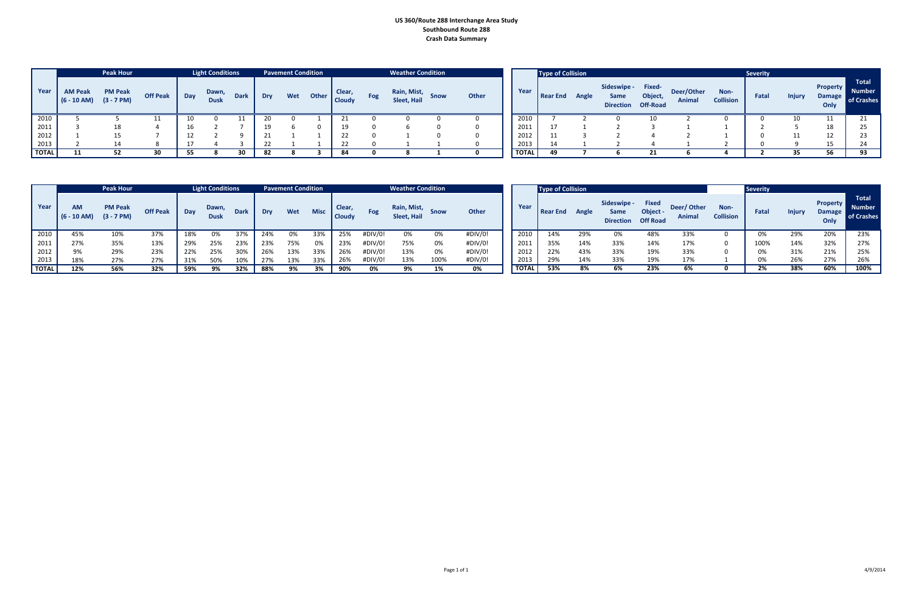## **US 360/Route 288 Interchange Area Study Southbound Route 288 Crash Data Summary**

|              |                                               | <b>Peak Hour</b> |          |     | <b>Light Conditions</b> |             |            | <b>Pavement Condition</b> |       |                               |            | <b>Weather Condition</b>   |             |       |              | Type of Collision |       |                                                  |         |                      |                          | <b>Severity</b> |               |                                          |                                             |
|--------------|-----------------------------------------------|------------------|----------|-----|-------------------------|-------------|------------|---------------------------|-------|-------------------------------|------------|----------------------------|-------------|-------|--------------|-------------------|-------|--------------------------------------------------|---------|----------------------|--------------------------|-----------------|---------------|------------------------------------------|---------------------------------------------|
| Year         | <b>AM Peak</b><br>$(6 - 10$ AM) $(3 - 7)$ PM) | <b>PM Peak</b>   | Off Peak | Day | Dawn,<br><b>Dusk</b>    | <b>Dark</b> | Dry        | Wet                       | Other | <b>Clear</b><br><b>Cloudy</b> | <b>Fog</b> | Rain, Mist,<br>Sleet, Hail | <b>Snow</b> | Other | Year         | Rear End          | Angle | Sideswipe - Fixed-<br>Same<br>Direction Off-Road | Object, | Deer/Other<br>Animal | Non-<br><b>Collision</b> | Fatal           | <b>Injury</b> | <b>Property</b><br><b>Damage</b><br>Only | <b>Total</b><br><b>Number</b><br>of Crashes |
| 2010         |                                               |                  |          |     |                         |             |            |                           |       |                               |            |                            |             |       | 2010         |                   |       |                                                  |         |                      |                          |                 |               | 11                                       |                                             |
| 2011         |                                               | 18               |          |     |                         |             |            |                           |       | 19                            |            |                            |             |       | 2011         |                   |       |                                                  |         |                      |                          |                 |               | 18                                       |                                             |
| 2012         |                                               |                  |          |     |                         |             | <b>D</b> 1 |                           |       | $\mathbf{r}$                  |            |                            |             |       | 2012         |                   |       |                                                  |         |                      |                          |                 |               | 12                                       |                                             |
| 2013         |                                               |                  |          |     |                         |             | $\sim$     |                           |       | $\mathbf{a}$                  |            |                            |             |       | 2013         |                   |       |                                                  |         |                      |                          |                 |               | 1 E                                      |                                             |
| <b>TOTAL</b> |                                               |                  |          |     |                         |             | - 82       |                           |       |                               |            |                            |             |       | <b>TOTAL</b> |                   |       |                                                  |         |                      |                          |                 |               | -56                                      |                                             |

|              |                            | <b>Peak Hour</b>               |                 |     | <b>Light Conditions</b> |             |     | <b>Pavement Condition</b> |             |                         |            | <b>Weather Condition</b>   |      |              |       | Type of Collision |       |                                         |                                             |                             |                          | <b>Severity</b> |               |                                          |                                             |
|--------------|----------------------------|--------------------------------|-----------------|-----|-------------------------|-------------|-----|---------------------------|-------------|-------------------------|------------|----------------------------|------|--------------|-------|-------------------|-------|-----------------------------------------|---------------------------------------------|-----------------------------|--------------------------|-----------------|---------------|------------------------------------------|---------------------------------------------|
| Year         | <b>AM</b><br>$(6 - 10 AM)$ | <b>PM Peak</b><br>$(3 - 7 PM)$ | <b>Off Peak</b> | Day | Dawn,<br><b>Dusk</b>    | <b>Dark</b> | Dry | Wet                       | <b>Misc</b> | Clear,<br><b>Cloudy</b> | <b>Fog</b> | Rain, Mist,<br>Sleet, Hail |      | <b>Other</b> | Year  | Rear End          | Angle | Sideswipe -<br>Same<br><b>Direction</b> | <b>Fixed</b><br>Object -<br><b>Off Road</b> | Deer/Other<br><b>Animal</b> | Non-<br><b>Collision</b> | Fatal           | <b>Injury</b> | <b>Property</b><br><b>Damage</b><br>Only | <b>Total</b><br><b>Number</b><br>of Crashes |
| 2010         | 45%                        | 10%                            | 37%             | 18% | 0%                      | 37%         |     | 0%                        | 33%         | 25%                     | #DIV/0!    | 0%                         | 0%   | #DIV/0!      | 2010  | 14%               | 29%   | U%                                      | 48%                                         | 33%                         |                          | 0%              | 29%           | 20%                                      | 23%                                         |
| 2011         | 27%                        | 35%                            | 13%             | 29% | 25%                     | 23%         | 23% | 75%                       | 0%          | 23%                     | #DIV/0!    | 75%                        | 0%   | #DIV/0!      | 2011  | 35%               | 14%   | 33%                                     | 14%                                         | 17%                         |                          | 100%            | 14%           | 32%                                      | 27%                                         |
| 2012         | 9%                         | 29%                            | 23%             | 22% | 25%                     | 30%         |     | 13%                       | 33%         | 26%                     | #DIV/0!    | 13%                        | 0%   | #DIV/0!      | 2012  | 22%               | 43%   | 33%                                     | 19%                                         | 33%                         |                          | 0%              | 31%           | 21%                                      | 25%                                         |
| 2013         | 18%                        | 27%                            | 27%             | 31% | 50%                     | 10%         | 27% | 13%                       | 33%         | 26%                     | #DIV/0!    | 13%                        | 100% | #DIV/0!      | 2013  | 29%               | 14%   | 33%                                     | 19%                                         | 17%                         |                          | 0%              | 26%           | 27%                                      | 26%                                         |
| <b>TOTAL</b> | 12%                        | 56%                            | 32%             | 59% | 9%                      | 32%         | 88% |                           | 3%          | 90%                     | 0%         | 9%                         |      | 0%           | TOTAL | 53%               | 8%    | 6%                                      | 23%                                         | 6%                          |                          | 2%              | 38%           | 60%                                      | 100%                                        |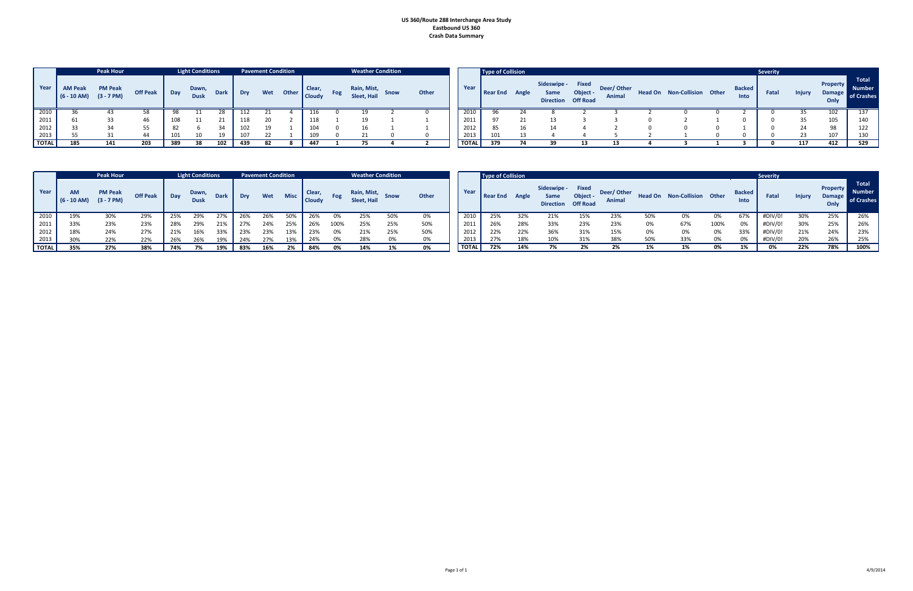#### **US 360/Route 288 Interchange Area Study Eastbound US 360 Crash Data Summary**

|              |                                 | <b>Peak Hour</b>               |                 |     | <b>Light Conditions</b> |             |     | <b>Pavement Condition</b> |       |                         | <b>Weather Condition</b>   |             |       |       | Type of Collision |       |                                               |                             |                             |                             |                       | <b>Severity</b> |               |                                   |                                |
|--------------|---------------------------------|--------------------------------|-----------------|-----|-------------------------|-------------|-----|---------------------------|-------|-------------------------|----------------------------|-------------|-------|-------|-------------------|-------|-----------------------------------------------|-----------------------------|-----------------------------|-----------------------------|-----------------------|-----------------|---------------|-----------------------------------|--------------------------------|
| Year         | <b>AM Peak</b><br>$(6 - 10$ AM) | <b>PM Peak</b><br>$(3 - 7 PM)$ | <b>Off Peak</b> | Day | Dawn,<br><b>Dusk</b>    | <b>Dark</b> | Dry | Wet                       | Other | Clear,<br><b>Cloudy</b> | Rain, Mist,<br>Sleet, Hail | <b>Snow</b> | Other | Year  | <b>Rear End</b>   | Angle | Sideswipe - Fixed<br>Same<br><b>Direction</b> | Object -<br><b>Off Road</b> | Deer/Other<br><b>Animal</b> | Head On Non-Collision Other | <b>Backed</b><br>Into | Fatal           | <b>Injury</b> | <b>Property</b><br>Damage<br>Only | Tota<br><b>Numb</b><br>of Cras |
| 2010         | 36                              |                                |                 | -98 |                         |             |     |                           |       |                         |                            |             |       | 2010  | 96                |       |                                               |                             |                             |                             |                       |                 |               |                                   | 137                            |
| 2011         | 61                              |                                | 46              | 108 |                         |             | 118 |                           |       | 118                     |                            |             |       | 2011  | 97                |       |                                               |                             |                             |                             |                       |                 |               | 105                               | 140                            |
| 2012         | 33                              |                                | 55              | 82  |                         |             | 102 |                           |       |                         |                            |             |       | 2012  | 85                |       |                                               |                             |                             |                             |                       |                 |               | 98                                | 122                            |
| 2013         |                                 |                                | 44              |     |                         |             | 107 |                           |       |                         |                            |             |       | 2013  |                   |       |                                               |                             |                             |                             |                       |                 |               | 107                               | 130                            |
| <b>TOTAL</b> | 185                             | 141                            | 203             | 389 | 38                      | 102         | 439 |                           |       | 447                     |                            |             |       | TOTAL | 379               |       |                                               |                             |                             |                             |                       |                 | 117           | 412                               | 529                            |

|              |              |                       | <b>Severity</b> |               | <b>Property</b>       | <b>Total</b>                |
|--------------|--------------|-----------------------|-----------------|---------------|-----------------------|-----------------------------|
| on-Collision | <b>Other</b> | <b>Backed</b><br>Into | Fatal           | <b>Injury</b> | <b>Damage</b><br>Only | <b>Number</b><br>of Crashes |
| 0            | 0            | $\mathfrak z$         | 0               | 35            | 102                   | 137                         |
| 2            |              | 0                     | 0               | 35            | 105                   | 140                         |
| 0            | 0            | 1                     | 0               | 24            | 98                    | 122                         |
|              | 0            | 0                     | 0               | 23            | 107                   | 130                         |
| 3            |              | 3                     | 0               | 117           | 412                   | 529                         |

|              |                            | <b>Peak Hour</b>               |                 |     | <b>Light Conditions</b> |             |     | <b>Pavement Condition</b> |      |                        |      | <b>Weather Condition</b>          |     |       |              | Type of Collision |       |                     |                                                       |                      |     |                                    |      |                       | <b>Severity</b> |               |                                   |                                   |
|--------------|----------------------------|--------------------------------|-----------------|-----|-------------------------|-------------|-----|---------------------------|------|------------------------|------|-----------------------------------|-----|-------|--------------|-------------------|-------|---------------------|-------------------------------------------------------|----------------------|-----|------------------------------------|------|-----------------------|-----------------|---------------|-----------------------------------|-----------------------------------|
| Year         | <b>AM</b><br>$(6 - 10 AM)$ | <b>PM Peak</b><br>$(3 - 7 PM)$ | <b>Off Peak</b> | Day | Dawn,<br><b>Dusk</b>    | <b>Dark</b> | Dry | Wet                       | Misc | <b>Clear</b><br>Cloudy | Fog  | Rain, Mist,<br><b>Sleet, Hail</b> |     | Other | Year         | Rear End          | Angle | Sideswipe -<br>Same | <b>Fixed</b><br>Object -<br><b>Direction Off Road</b> | Deer/Other<br>Animal |     | <b>Head On</b> Non-Collision Other |      | <b>Backed</b><br>Into | Fatal           | <b>Injury</b> | <b>Property</b><br>Damage<br>Only | <b>Total</b><br>Numb.<br>of Crash |
| 2010         | 19%                        | 30%                            | 29%             | 25% | 29%                     | 27%         | 26% | 26%                       | 50%  |                        |      | 25%                               | 50% | 0%    | 2010         | 25%               | 32%   | 21%                 | 15%                                                   | 23%                  | 50% | 0%                                 | 0%   | 67%                   | #DIV/0.         | 30%           | 25%                               | 26%                               |
| 2011         | 33%                        | 23%                            | 23%             | 28% | 29%                     | 21%         | 27% | 24%                       | 25%  | 26%                    | 100% | 25%                               | 25% | 50%   | 2011         | 26%               | 28%   | 33%                 | 23%                                                   | 23%                  | 0%  | 67%                                | 100% | 0%                    | #DIV/0!         | 30%           | 25%                               | 26%                               |
| 2012         | 18%                        | 24%                            | 27%             | 21% | 16%                     | 33%         | 23% | 23%                       | 13%  | 23%                    | 0%   | 21%                               | 25% | 50%   | 2012         | 22%               | 22%   | 36%                 | 31%                                                   | 15%                  | 0%  | 0%                                 | 0%   | 33%                   | #DIV/0          | 21%           | 24%                               | 23%                               |
| 2013         | 30%                        | 22%                            | 22%             | 26% | 26%                     | 19%         | 24% | 27%                       | 13%  | 24%                    | 0%   | 28%                               |     | በ%    | 2013         | 27%               | 18%   |                     | 31%                                                   | 38%                  | 50% | 33%                                | 0%   | 0%                    | #DIV/0!         | 20%           | 26%                               | 25%                               |
| <b>TOTAL</b> | 35%                        | 27%                            | 38%             | 74% | 7%                      | 19%         | 83% | 16%                       |      | 84%                    |      | 14%                               | 1%  | 0%    | <b>TOTAL</b> | 72%               | 14%   |                     |                                                       | 2%                   |     | 1%                                 | 0%   |                       | 0%              | 22%           | 78%                               | 100%                              |

|                            |                |                      |              |                       | <b>Severity</b> |               |                                          |                                             |
|----------------------------|----------------|----------------------|--------------|-----------------------|-----------------|---------------|------------------------------------------|---------------------------------------------|
| er/ Other<br><b>Animal</b> | <b>Head On</b> | <b>Non-Collision</b> | <b>Other</b> | <b>Backed</b><br>Into | Fatal           | <b>Injury</b> | <b>Property</b><br><b>Damage</b><br>Only | <b>Total</b><br><b>Number</b><br>of Crashes |
| 23%                        | 50%            | 0%                   | 0%           | 67%                   | #DIV/0!         | 30%           | 25%                                      | 26%                                         |
| 23%                        | 0%             | 67%                  | 100%         | 0%                    | #DIV/0!         | 30%           | 25%                                      | 26%                                         |
| 15%                        | 0%             | 0%                   | 0%           | 33%                   | #DIV/0!         | 21%           | 24%                                      | 23%                                         |
| 38%                        | 50%            | 33%                  | 0%           | 0%                    | #DIV/0!         | 20%           | 26%                                      | 25%                                         |
| 2%                         | 1%             | 1%                   | 0%           | 1%                    | 0%              | 22%           | 78%                                      | 100%                                        |